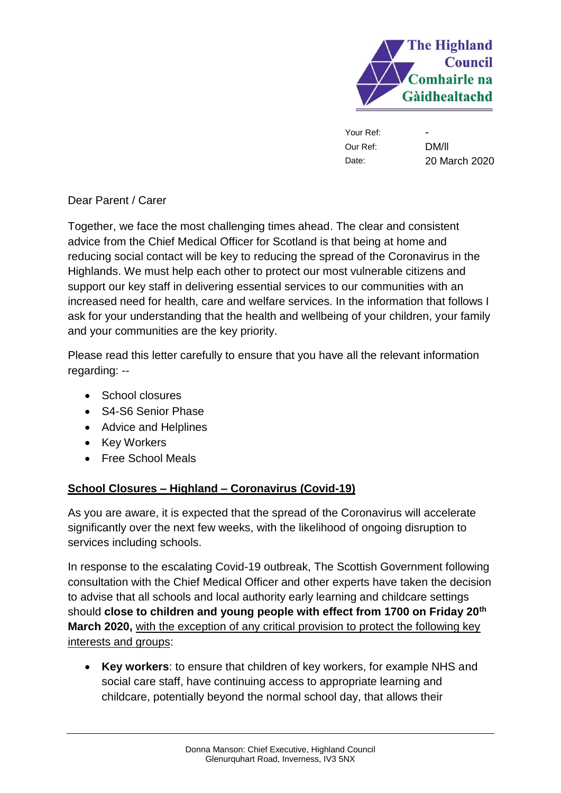

Your Ref: Our Ref: Date:

- DM/ll 20 March 2020

Dear Parent / Carer

Together, we face the most challenging times ahead. The clear and consistent advice from the Chief Medical Officer for Scotland is that being at home and reducing social contact will be key to reducing the spread of the Coronavirus in the Highlands. We must help each other to protect our most vulnerable citizens and support our key staff in delivering essential services to our communities with an increased need for health, care and welfare services. In the information that follows I ask for your understanding that the health and wellbeing of your children, your family and your communities are the key priority.

Please read this letter carefully to ensure that you have all the relevant information regarding: --

- School closures
- S4-S6 Senior Phase
- Advice and Helplines
- Key Workers
- Free School Meals

# **School Closures – Highland – Coronavirus (Covid-19)**

As you are aware, it is expected that the spread of the Coronavirus will accelerate significantly over the next few weeks, with the likelihood of ongoing disruption to services including schools.

In response to the escalating Covid-19 outbreak, The Scottish Government following consultation with the Chief Medical Officer and other experts have taken the decision to advise that all schools and local authority early learning and childcare settings should **close to children and young people with effect from 1700 on Friday 20th March 2020,** with the exception of any critical provision to protect the following key interests and groups:

• **Key workers**: to ensure that children of key workers, for example NHS and social care staff, have continuing access to appropriate learning and childcare, potentially beyond the normal school day, that allows their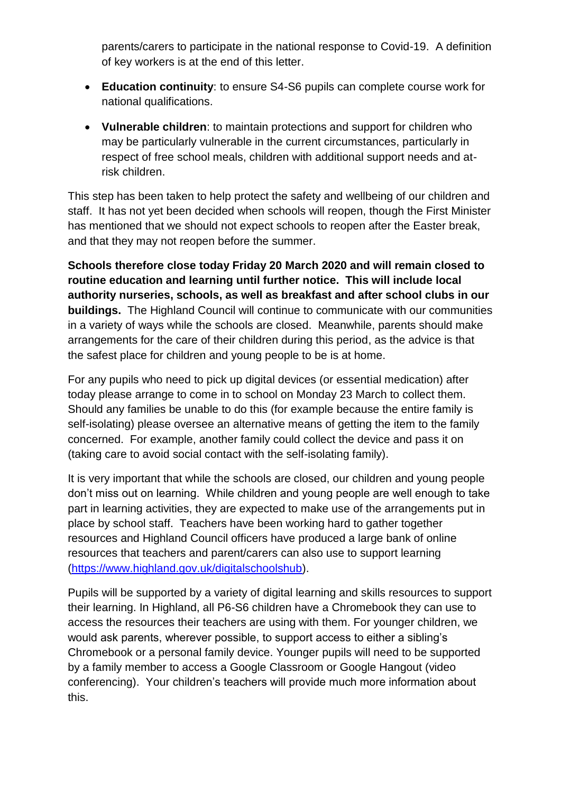parents/carers to participate in the national response to Covid-19. A definition of key workers is at the end of this letter.

- **Education continuity**: to ensure S4-S6 pupils can complete course work for national qualifications.
- **Vulnerable children**: to maintain protections and support for children who may be particularly vulnerable in the current circumstances, particularly in respect of free school meals, children with additional support needs and atrisk children.

This step has been taken to help protect the safety and wellbeing of our children and staff. It has not yet been decided when schools will reopen, though the First Minister has mentioned that we should not expect schools to reopen after the Easter break, and that they may not reopen before the summer.

**Schools therefore close today Friday 20 March 2020 and will remain closed to routine education and learning until further notice. This will include local authority nurseries, schools, as well as breakfast and after school clubs in our buildings.** The Highland Council will continue to communicate with our communities in a variety of ways while the schools are closed. Meanwhile, parents should make arrangements for the care of their children during this period, as the advice is that the safest place for children and young people to be is at home.

For any pupils who need to pick up digital devices (or essential medication) after today please arrange to come in to school on Monday 23 March to collect them. Should any families be unable to do this (for example because the entire family is self-isolating) please oversee an alternative means of getting the item to the family concerned. For example, another family could collect the device and pass it on (taking care to avoid social contact with the self-isolating family).

It is very important that while the schools are closed, our children and young people don't miss out on learning. While children and young people are well enough to take part in learning activities, they are expected to make use of the arrangements put in place by school staff. Teachers have been working hard to gather together resources and Highland Council officers have produced a large bank of online resources that teachers and parent/carers can also use to support learning [\(https://www.highland.gov.uk/digitalschoolshub\)](https://www.highland.gov.uk/digitalschoolshub).

Pupils will be supported by a variety of digital learning and skills resources to support their learning. In Highland, all P6-S6 children have a Chromebook they can use to access the resources their teachers are using with them. For younger children, we would ask parents, wherever possible, to support access to either a sibling's Chromebook or a personal family device. Younger pupils will need to be supported by a family member to access a Google Classroom or Google Hangout (video conferencing). Your children's teachers will provide much more information about this.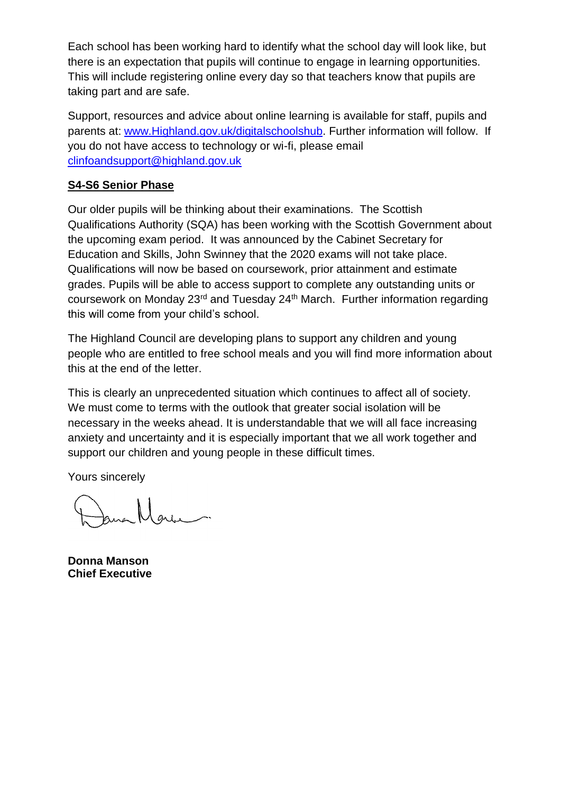Each school has been working hard to identify what the school day will look like, but there is an expectation that pupils will continue to engage in learning opportunities. This will include registering online every day so that teachers know that pupils are taking part and are safe.

Support, resources and advice about online learning is available for staff, pupils and parents at: [www.Highland.gov.uk/digitalschoolshub.](http://www.highland.gov.uk/digitalschoolshub) Further information will follow. If you do not have access to technology or wi-fi, please email [clinfoandsupport@highland.gov.uk](mailto:clinfoandsupport@highland.gov.uk)

### **S4-S6 Senior Phase**

Our older pupils will be thinking about their examinations. The Scottish Qualifications Authority (SQA) has been working with the Scottish Government about the upcoming exam period. It was announced by the Cabinet Secretary for Education and Skills, John Swinney that the 2020 exams will not take place. Qualifications will now be based on coursework, prior attainment and estimate grades. Pupils will be able to access support to complete any outstanding units or coursework on Monday 23rd and Tuesday 24th March. Further information regarding this will come from your child's school.

The Highland Council are developing plans to support any children and young people who are entitled to free school meals and you will find more information about this at the end of the letter.

This is clearly an unprecedented situation which continues to affect all of society. We must come to terms with the outlook that greater social isolation will be necessary in the weeks ahead. It is understandable that we will all face increasing anxiety and uncertainty and it is especially important that we all work together and support our children and young people in these difficult times.

Yours sincerely

**Donna Manson Chief Executive**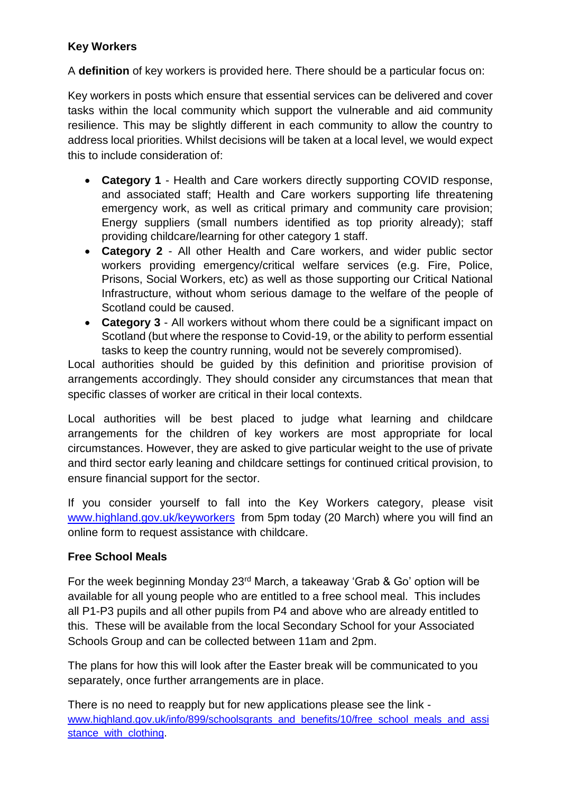## **Key Workers**

A **definition** of key workers is provided here. There should be a particular focus on:

Key workers in posts which ensure that essential services can be delivered and cover tasks within the local community which support the vulnerable and aid community resilience. This may be slightly different in each community to allow the country to address local priorities. Whilst decisions will be taken at a local level, we would expect this to include consideration of:

- **Category 1**  Health and Care workers directly supporting COVID response, and associated staff; Health and Care workers supporting life threatening emergency work, as well as critical primary and community care provision; Energy suppliers (small numbers identified as top priority already); staff providing childcare/learning for other category 1 staff.
- **Category 2**  All other Health and Care workers, and wider public sector workers providing emergency/critical welfare services (e.g. Fire, Police, Prisons, Social Workers, etc) as well as those supporting our Critical National Infrastructure, without whom serious damage to the welfare of the people of Scotland could be caused.
- **Category 3**  All workers without whom there could be a significant impact on Scotland (but where the response to Covid-19, or the ability to perform essential tasks to keep the country running, would not be severely compromised).

Local authorities should be guided by this definition and prioritise provision of arrangements accordingly. They should consider any circumstances that mean that specific classes of worker are critical in their local contexts.

Local authorities will be best placed to judge what learning and childcare arrangements for the children of key workers are most appropriate for local circumstances. However, they are asked to give particular weight to the use of private and third sector early leaning and childcare settings for continued critical provision, to ensure financial support for the sector.

If you consider yourself to fall into the Key Workers category, please visit [www.highland.gov.uk/keyworkers](http://www.highland.gov.uk/keyworkers) from 5pm today (20 March) where you will find an online form to request assistance with childcare.

### **Free School Meals**

For the week beginning Monday 23rd March, a takeaway 'Grab & Go' option will be available for all young people who are entitled to a free school meal. This includes all P1-P3 pupils and all other pupils from P4 and above who are already entitled to this. These will be available from the local Secondary School for your Associated Schools Group and can be collected between 11am and 2pm.

The plans for how this will look after the Easter break will be communicated to you separately, once further arrangements are in place.

There is no need to reapply but for new applications please see the link [www.highland.gov.uk/info/899/schoolsgrants\\_and\\_benefits/10/free\\_school\\_meals\\_and\\_assi](http://www.highland.gov.uk/info/899/schoolsgrants_and_benefits/10/free_school_meals_and_assistance_with_clothing) [stance\\_with\\_clothing.](http://www.highland.gov.uk/info/899/schoolsgrants_and_benefits/10/free_school_meals_and_assistance_with_clothing)